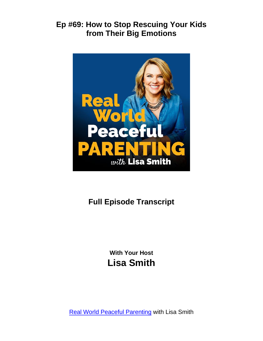

# **Full Episode Transcript**

**With Your Host Lisa Smith**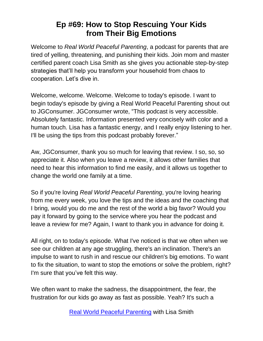Welcome to *Real World Peaceful Parenting*, a podcast for parents that are tired of yelling, threatening, and punishing their kids. Join mom and master certified parent coach Lisa Smith as she gives you actionable step-by-step strategies that'll help you transform your household from chaos to cooperation. Let's dive in.

Welcome, welcome. Welcome. Welcome to today's episode. I want to begin today's episode by giving a Real World Peaceful Parenting shout out to JGConsumer. JGConsumer wrote, "This podcast is very accessible. Absolutely fantastic. Information presented very concisely with color and a human touch. Lisa has a fantastic energy, and I really enjoy listening to her. I'll be using the tips from this podcast probably forever."

Aw, JGConsumer, thank you so much for leaving that review. I so, so, so appreciate it. Also when you leave a review, it allows other families that need to hear this information to find me easily, and it allows us together to change the world one family at a time.

So if you're loving *Real World Peaceful Parenting*, you're loving hearing from me every week, you love the tips and the ideas and the coaching that I bring, would you do me and the rest of the world a big favor? Would you pay it forward by going to the service where you hear the podcast and leave a review for me? Again, I want to thank you in advance for doing it.

All right, on to today's episode. What I've noticed is that we often when we see our children at any age struggling, there's an inclination. There's an impulse to want to rush in and rescue our children's big emotions. To want to fix the situation, to want to stop the emotions or solve the problem, right? I'm sure that you've felt this way.

We often want to make the sadness, the disappointment, the fear, the frustration for our kids go away as fast as possible. Yeah? It's such a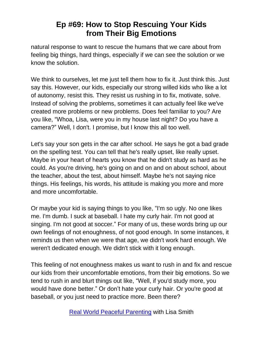natural response to want to rescue the humans that we care about from feeling big things, hard things, especially if we can see the solution or we know the solution.

We think to ourselves, let me just tell them how to fix it. Just think this. Just say this. However, our kids, especially our strong willed kids who like a lot of autonomy, resist this. They resist us rushing in to fix, motivate, solve. Instead of solving the problems, sometimes it can actually feel like we've created more problems or new problems. Does feel familiar to you? Are you like, "Whoa, Lisa, were you in my house last night? Do you have a camera?" Well, I don't. I promise, but I know this all too well.

Let's say your son gets in the car after school. He says he got a bad grade on the spelling test. You can tell that he's really upset, like really upset. Maybe in your heart of hearts you know that he didn't study as hard as he could. As you're driving, he's going on and on and on about school, about the teacher, about the test, about himself. Maybe he's not saying nice things. His feelings, his words, his attitude is making you more and more and more uncomfortable.

Or maybe your kid is saying things to you like, "I'm so ugly. No one likes me. I'm dumb. I suck at baseball. I hate my curly hair. I'm not good at singing. I'm not good at soccer." For many of us, these words bring up our own feelings of not enoughness, of not good enough. In some instances, it reminds us then when we were that age, we didn't work hard enough. We weren't dedicated enough. We didn't stick with it long enough.

This feeling of not enoughness makes us want to rush in and fix and rescue our kids from their uncomfortable emotions, from their big emotions. So we tend to rush in and blurt things out like, "Well, if you'd study more, you would have done better." Or don't hate your curly hair. Or you're good at baseball, or you just need to practice more. Been there?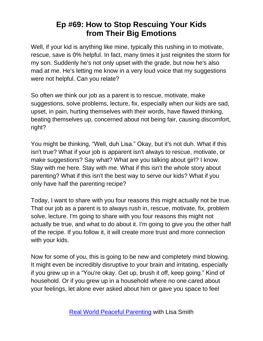Well, if your kid is anything like mine, typically this rushing in to motivate, rescue, save is 0% helpful. In fact, many times it just reignites the storm for my son. Suddenly he's not only upset with the grade, but now he's also mad at me. He's letting me know in a very loud voice that my suggestions were not helpful. Can you relate?

So often we think our job as a parent is to rescue, motivate, make suggestions, solve problems, lecture, fix, especially when our kids are sad, upset, in pain, hurting themselves with their words, have flawed thinking, beating themselves up, concerned about not being fair, causing discomfort, right?

You might be thinking, "Well, duh Lisa." Okay, but it's not duh. What if this isn't true? What if your job is apparent isn't always to rescue, motivate, or make suggestions? Say what? What are you talking about girl? I know. Stay with me here. Stay with me. What if this isn't the whole story about parenting? What if this isn't the best way to serve our kids? What if you only have half the parenting recipe?

Today, I want to share with you four reasons this might actually not be true. That our job as a parent is to always rush in, rescue, motivate, fix, problem solve, lecture. I'm going to share with you four reasons this might not actually be true, and what to do about it. I'm going to give you the other half of the recipe. If you follow it, it will create more trust and more connection with your kids.

Now for some of you, this is going to be new and completely mind blowing. It might even be incredibly disruptive to your brain and irritating, especially if you grew up in a "You're okay. Get up, brush it off, keep going." Kind of household. Or if you grew up in a household where no one cared about your feelings, let alone ever asked about him or gave you space to feel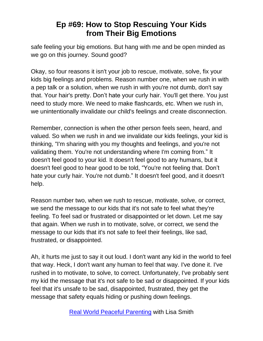safe feeling your big emotions. But hang with me and be open minded as we go on this journey. Sound good?

Okay, so four reasons it isn't your job to rescue, motivate, solve, fix your kids big feelings and problems. Reason number one, when we rush in with a pep talk or a solution, when we rush in with you're not dumb, don't say that. Your hair's pretty. Don't hate your curly hair. You'll get there. You just need to study more. We need to make flashcards, etc. When we rush in, we unintentionally invalidate our child's feelings and create disconnection.

Remember, connection is when the other person feels seen, heard, and valued. So when we rush in and we invalidate our kids feelings, your kid is thinking, "I'm sharing with you my thoughts and feelings, and you're not validating them. You're not understanding where I'm coming from." It doesn't feel good to your kid. It doesn't feel good to any humans, but it doesn't feel good to hear good to be told, "You're not feeling that. Don't hate your curly hair. You're not dumb." It doesn't feel good, and it doesn't help.

Reason number two, when we rush to rescue, motivate, solve, or correct, we send the message to our kids that it's not safe to feel what they're feeling. To feel sad or frustrated or disappointed or let down. Let me say that again. When we rush in to motivate, solve, or correct, we send the message to our kids that it's not safe to feel their feelings, like sad, frustrated, or disappointed.

Ah, it hurts me just to say it out loud. I don't want any kid in the world to feel that way. Heck, I don't want any human to feel that way. I've done it. I've rushed in to motivate, to solve, to correct. Unfortunately, I've probably sent my kid the message that it's not safe to be sad or disappointed. If your kids feel that it's unsafe to be sad, disappointed, frustrated, they get the message that safety equals hiding or pushing down feelings.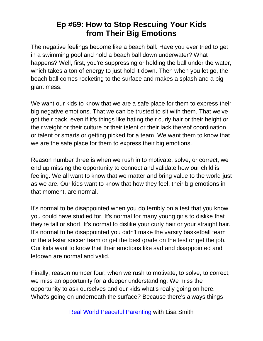The negative feelings become like a beach ball. Have you ever tried to get in a swimming pool and hold a beach ball down underwater? What happens? Well, first, you're suppressing or holding the ball under the water, which takes a ton of energy to just hold it down. Then when you let go, the beach ball comes rocketing to the surface and makes a splash and a big giant mess.

We want our kids to know that we are a safe place for them to express their big negative emotions. That we can be trusted to sit with them. That we've got their back, even if it's things like hating their curly hair or their height or their weight or their culture or their talent or their lack thereof coordination or talent or smarts or getting picked for a team. We want them to know that we are the safe place for them to express their big emotions.

Reason number three is when we rush in to motivate, solve, or correct, we end up missing the opportunity to connect and validate how our child is feeling. We all want to know that we matter and bring value to the world just as we are. Our kids want to know that how they feel, their big emotions in that moment, are normal.

It's normal to be disappointed when you do terribly on a test that you know you could have studied for. It's normal for many young girls to dislike that they're tall or short. It's normal to dislike your curly hair or your straight hair. It's normal to be disappointed you didn't make the varsity basketball team or the all-star soccer team or get the best grade on the test or get the job. Our kids want to know that their emotions like sad and disappointed and letdown are normal and valid.

Finally, reason number four, when we rush to motivate, to solve, to correct, we miss an opportunity for a deeper understanding. We miss the opportunity to ask ourselves and our kids what's really going on here. What's going on underneath the surface? Because there's always things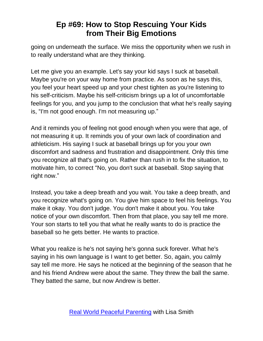going on underneath the surface. We miss the opportunity when we rush in to really understand what are they thinking.

Let me give you an example. Let's say your kid says I suck at baseball. Maybe you're on your way home from practice. As soon as he says this, you feel your heart speed up and your chest tighten as you're listening to his self-criticism. Maybe his self-criticism brings up a lot of uncomfortable feelings for you, and you jump to the conclusion that what he's really saying is, "I'm not good enough. I'm not measuring up."

And it reminds you of feeling not good enough when you were that age, of not measuring it up. It reminds you of your own lack of coordination and athleticism. His saying I suck at baseball brings up for you your own discomfort and sadness and frustration and disappointment. Only this time you recognize all that's going on. Rather than rush in to fix the situation, to motivate him, to correct "No, you don't suck at baseball. Stop saying that right now."

Instead, you take a deep breath and you wait. You take a deep breath, and you recognize what's going on. You give him space to feel his feelings. You make it okay. You don't judge. You don't make it about you. You take notice of your own discomfort. Then from that place, you say tell me more. Your son starts to tell you that what he really wants to do is practice the baseball so he gets better. He wants to practice.

What you realize is he's not saying he's gonna suck forever. What he's saying in his own language is I want to get better. So, again, you calmly say tell me more. He says he noticed at the beginning of the season that he and his friend Andrew were about the same. They threw the ball the same. They batted the same, but now Andrew is better.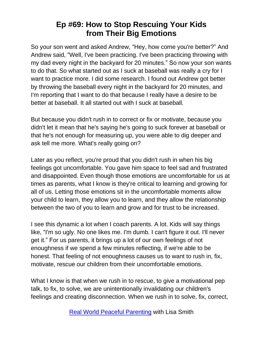So your son went and asked Andrew, "Hey, how come you're better?" And Andrew said, "Well, I've been practicing. I've been practicing throwing with my dad every night in the backyard for 20 minutes." So now your son wants to do that. So what started out as I suck at baseball was really a cry for I want to practice more. I did some research. I found out Andrew got better by throwing the baseball every night in the backyard for 20 minutes, and I'm reporting that I want to do that because I really have a desire to be better at baseball. It all started out with I suck at baseball.

But because you didn't rush in to correct or fix or motivate, because you didn't let it mean that he's saying he's going to suck forever at baseball or that he's not enough for measuring up, you were able to dig deeper and ask tell me more. What's really going on?

Later as you reflect, you're proud that you didn't rush in when his big feelings got uncomfortable. You gave him space to feel sad and frustrated and disappointed. Even though those emotions are uncomfortable for us at times as parents, what I know is they're critical to learning and growing for all of us. Letting those emotions sit in the uncomfortable moments allow your child to learn, they allow you to learn, and they allow the relationship between the two of you to learn and grow and for trust to be increased.

I see this dynamic a lot when I coach parents. A lot. Kids will say things like, "I'm so ugly. No one likes me. I'm dumb. I can't figure it out. I'll never get it." For us parents, it brings up a lot of our own feelings of not enoughness if we spend a few minutes reflecting, if we're able to be honest. That feeling of not enoughness causes us to want to rush in, fix, motivate, rescue our children from their uncomfortable emotions.

What I know is that when we rush in to rescue, to give a motivational pep talk, to fix, to solve, we are unintentionally invalidating our children's feelings and creating disconnection. When we rush in to solve, fix, correct,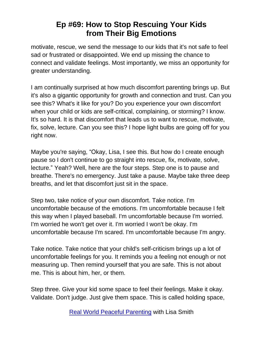motivate, rescue, we send the message to our kids that it's not safe to feel sad or frustrated or disappointed. We end up missing the chance to connect and validate feelings. Most importantly, we miss an opportunity for greater understanding.

I am continually surprised at how much discomfort parenting brings up. But it's also a gigantic opportunity for growth and connection and trust. Can you see this? What's it like for you? Do you experience your own discomfort when your child or kids are self-critical, complaining, or storming? I know. It's so hard. It is that discomfort that leads us to want to rescue, motivate, fix, solve, lecture. Can you see this? I hope light bulbs are going off for you right now.

Maybe you're saying, "Okay, Lisa, I see this. But how do I create enough pause so I don't continue to go straight into rescue, fix, motivate, solve, lecture." Yeah? Well, here are the four steps. Step one is to pause and breathe. There's no emergency. Just take a pause. Maybe take three deep breaths, and let that discomfort just sit in the space.

Step two, take notice of your own discomfort. Take notice. I'm uncomfortable because of the emotions. I'm uncomfortable because I felt this way when I played baseball. I'm uncomfortable because I'm worried. I'm worried he won't get over it. I'm worried I won't be okay. I'm uncomfortable because I'm scared. I'm uncomfortable because I'm angry.

Take notice. Take notice that your child's self-criticism brings up a lot of uncomfortable feelings for you. It reminds you a feeling not enough or not measuring up. Then remind yourself that you are safe. This is not about me. This is about him, her, or them.

Step three. Give your kid some space to feel their feelings. Make it okay. Validate. Don't judge. Just give them space. This is called holding space,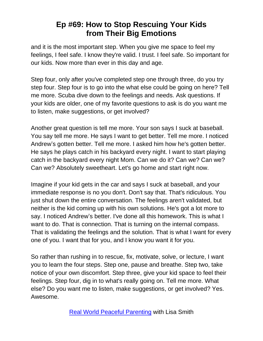and it is the most important step. When you give me space to feel my feelings, I feel safe. I know they're valid. I trust. I feel safe. So important for our kids. Now more than ever in this day and age.

Step four, only after you've completed step one through three, do you try step four. Step four is to go into the what else could be going on here? Tell me more. Scuba dive down to the feelings and needs. Ask questions. If your kids are older, one of my favorite questions to ask is do you want me to listen, make suggestions, or get involved?

Another great question is tell me more. Your son says I suck at baseball. You say tell me more. He says I want to get better. Tell me more. I noticed Andrew's gotten better. Tell me more. I asked him how he's gotten better. He says he plays catch in his backyard every night. I want to start playing catch in the backyard every night Mom. Can we do it? Can we? Can we? Can we? Absolutely sweetheart. Let's go home and start right now.

Imagine if your kid gets in the car and says I suck at baseball, and your immediate response is no you don't. Don't say that. That's ridiculous. You just shut down the entire conversation. The feelings aren't validated, but neither is the kid coming up with his own solutions. He's got a lot more to say. I noticed Andrew's better. I've done all this homework. This is what I want to do. That is connection. That is turning on the internal compass. That is validating the feelings and the solution. That is what I want for every one of you. I want that for you, and I know you want it for you.

So rather than rushing in to rescue, fix, motivate, solve, or lecture, I want you to learn the four steps. Step one, pause and breathe. Step two, take notice of your own discomfort. Step three, give your kid space to feel their feelings. Step four, dig in to what's really going on. Tell me more. What else? Do you want me to listen, make suggestions, or get involved? Yes. Awesome.